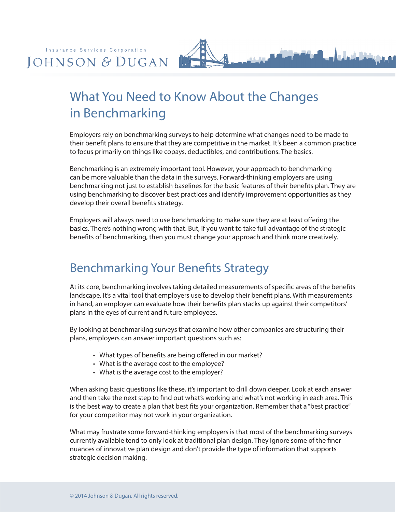

## What You Need to Know About the Changes in Benchmarking

Employers rely on benchmarking surveys to help determine what changes need to be made to their benefit plans to ensure that they are competitive in the market. It's been a common practice to focus primarily on things like copays, deductibles, and contributions. The basics.

Benchmarking is an extremely important tool. However, your approach to benchmarking can be more valuable than the data in the surveys. Forward-thinking employers are using benchmarking not just to establish baselines for the basic features of their benefits plan. They are using benchmarking to discover best practices and identify improvement opportunities as they develop their overall benefits strategy.

Employers will always need to use benchmarking to make sure they are at least offering the basics. There's nothing wrong with that. But, if you want to take full advantage of the strategic benefits of benchmarking, then you must change your approach and think more creatively.

## Benchmarking Your Benefits Strategy

At its core, benchmarking involves taking detailed measurements of specific areas of the benefits landscape. It's a vital tool that employers use to develop their benefit plans. With measurements in hand, an employer can evaluate how their benefits plan stacks up against their competitors' plans in the eyes of current and future employees.

By looking at benchmarking surveys that examine how other companies are structuring their plans, employers can answer important questions such as:

- What types of benefits are being offered in our market?
- What is the average cost to the employee?
- What is the average cost to the employer?

When asking basic questions like these, it's important to drill down deeper. Look at each answer and then take the next step to find out what's working and what's not working in each area. This is the best way to create a plan that best fits your organization. Remember that a "best practice" for your competitor may not work in your organization.

What may frustrate some forward-thinking employers is that most of the benchmarking surveys currently available tend to only look at traditional plan design. They ignore some of the finer nuances of innovative plan design and don't provide the type of information that supports strategic decision making.